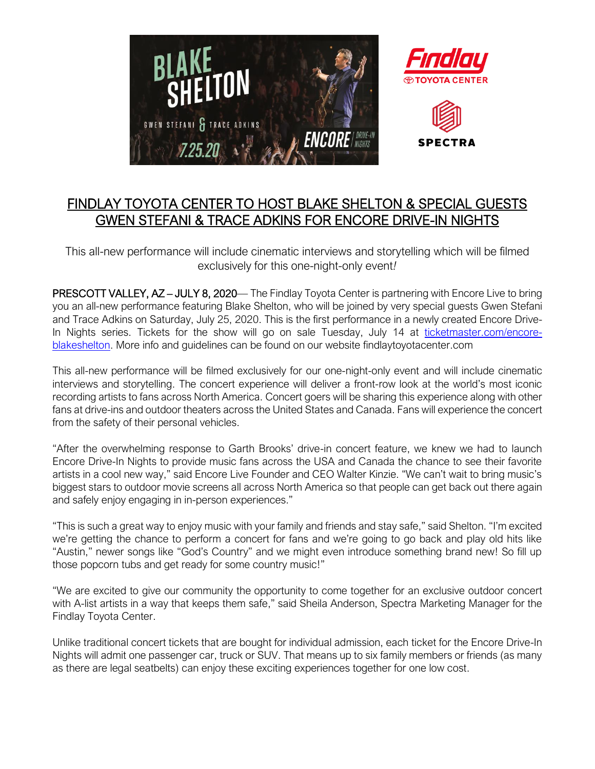

## FINDLAY TOYOTA CENTER TO HOST BLAKE SHELTON & SPECIAL GUESTS GWEN STEFANI & TRACE ADKINS FOR ENCORE DRIVE-IN NIGHTS

This all-new performance will include cinematic interviews and storytelling which will be filmed exclusively for this one-night-only event*!*

PRESCOTT VALLEY, AZ - JULY 8, 2020— The Findlay Toyota Center is partnering with Encore Live to bring you an all-new performance featuring Blake Shelton, who will be joined by very special guests Gwen Stefani and Trace Adkins on Saturday, July 25, 2020. This is the first performance in a newly created Encore DriveIn Nights series. Tickets for the show will go on sale Tuesday, July 14 at [ticketmaster.com/encore](https://www.ticketmaster.com/encore-blakeshelton)[blakeshelton.](https://www.ticketmaster.com/encore-blakeshelton) More info and guidelines can be found on our website findlaytoyotacenter.com

This all-new performance will be filmed exclusively for our one-night-only event and will include cinematic interviews and storytelling. The concert experience will deliver a front-row look at the world's most iconic recording artists to fans across North America. Concert goers will be sharing this experience along with other fans at drive-ins and outdoor theaters across the United States and Canada. Fans will experience the concert from the safety of their personal vehicles.

"After the overwhelming response to Garth Brooks' drive-in concert feature, we knew we had to launch Encore Drive-In Nights to provide music fans across the USA and Canada the chance to see their favorite artists in a cool new way," said Encore Live Founder and CEO Walter Kinzie. "We can't wait to bring music's biggest stars to outdoor movie screens all across North America so that people can get back out there again and safely enjoy engaging in in-person experiences."

"This is such a great way to enjoy music with your family and friends and stay safe," said Shelton. "I'm excited we're getting the chance to perform a concert for fans and we're going to go back and play old hits like "Austin," newer songs like "God's Country" and we might even introduce something brand new! So fill up those popcorn tubs and get ready for some country music!"

"We are excited to give our community the opportunity to come together for an exclusive outdoor concert with A-list artists in a way that keeps them safe," said Sheila Anderson, Spectra Marketing Manager for the Findlay Toyota Center.

Unlike traditional concert tickets that are bought for individual admission, each ticket for the Encore Drive-In Nights will admit one passenger car, truck or SUV. That means up to six family members or friends (as many as there are legal seatbelts) can enjoy these exciting experiences together for one low cost.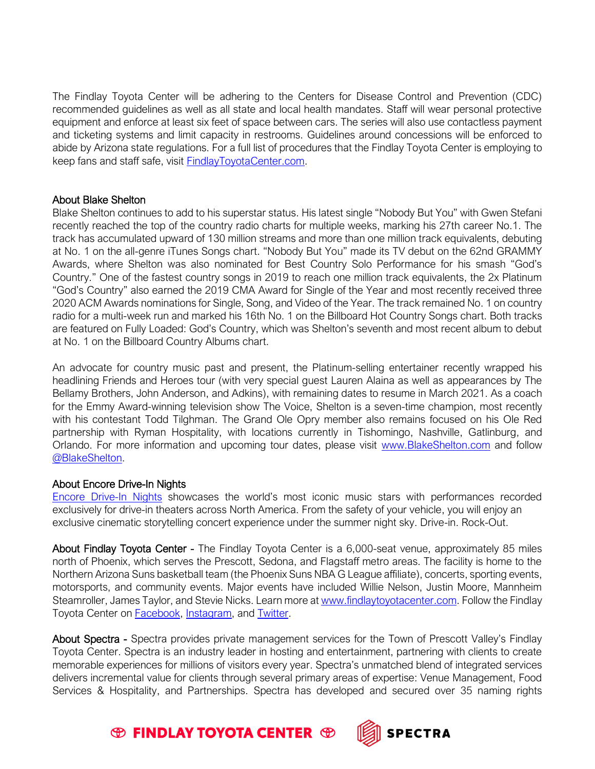The Findlay Toyota Center will be adhering to the Centers for Disease Control and Prevention (CDC) recommended guidelines as well as all state and local health mandates. Staff will wear personal protective equipment and enforce at least six feet of space between cars. The series will also use contactless payment and ticketing systems and limit capacity in restrooms. Guidelines around concessions will be enforced to abide by Arizona state regulations. For a full list of procedures that the Findlay Toyota Center is employing to keep fans and staff safe, visit [FindlayToyotaCenter.com.](http://www.findlaytoyotacenter.com/events/encore-drive-in-nights-presents-blake-shelton-with-very-special-guests-gwen-stefani-and-trace-adkins)

## About Blake Shelton

Blake Shelton continues to add to his superstar status. His latest single "Nobody But You" with Gwen Stefani recently reached the top of the country radio charts for multiple weeks, marking his 27th career No.1. The track has accumulated upward of 130 million streams and more than one million track equivalents, debuting at No. 1 on the all-genre iTunes Songs chart. "Nobody But You" made its TV debut on the 62nd GRAMMY Awards, where Shelton was also nominated for Best Country Solo Performance for his smash "God's Country." One of the fastest country songs in 2019 to reach one million track equivalents, the 2x Platinum "God's Country" also earned the 2019 CMA Award for Single of the Year and most recently received three 2020 ACM Awards nominations for Single, Song, and Video of the Year. The track remained No. 1 on country radio for a multi-week run and marked his 16th No. 1 on the Billboard Hot Country Songs chart. Both tracks are featured on Fully Loaded: God's Country, which was Shelton's seventh and most recent album to debut at No. 1 on the Billboard Country Albums chart.

An advocate for country music past and present, the Platinum-selling entertainer recently wrapped his headlining Friends and Heroes tour (with very special guest Lauren Alaina as well as appearances by The Bellamy Brothers, John Anderson, and Adkins), with remaining dates to resume in March 2021. As a coach for the Emmy Award-winning television show The Voice, Shelton is a seven-time champion, most recently with his contestant Todd Tilghman. The Grand Ole Opry member also remains focused on his Ole Red partnership with Ryman Hospitality, with locations currently in Tishomingo, Nashville, Gatlinburg, and Orlando. For more information and upcoming tour dates, please visit [www.BlakeShelton.com](http://www.blakeshelton.com/) and follow [@BlakeShelton.](https://twitter.com/blakeshelton)

## About Encore Drive-In Nights

[Encore Drive-In Nights](https://encorenights.com/) showcases the world's most iconic music stars with performances recorded exclusively for drive-in theaters across North America. From the safety of your vehicle, you will enjoy an exclusive cinematic storytelling concert experience under the summer night sky. Drive-in. Rock-Out.

About Findlay Toyota Center - The Findlay Toyota Center is a 6,000-seat venue, approximately 85 miles north of Phoenix, which serves the Prescott, Sedona, and Flagstaff metro areas. The facility is home to the Northern Arizona Suns basketball team (the Phoenix Suns NBA G League affiliate), concerts, sporting events, motorsports, and community events. Major events have included Willie Nelson, Justin Moore, Mannheim Steamroller, James Taylor, and Stevie Nicks. Learn more at [www.findlaytoyotacenter.com.](http://www.findlaytoyotacenter.com/) Follow the Findlay Toyota Center on **Facebook**, [Instagram,](https://www.instagram.com/findlaytoyotacenter/) and **Twitter**.

About Spectra - Spectra provides private management services for the Town of Prescott Valley's Findlay Toyota Center. Spectra is an industry leader in hosting and entertainment, partnering with clients to create memorable experiences for millions of visitors every year. Spectra's unmatched blend of integrated services delivers incremental value for clients through several primary areas of expertise: Venue Management, Food Services & Hospitality, and Partnerships. Spectra has developed and secured over 35 naming rights